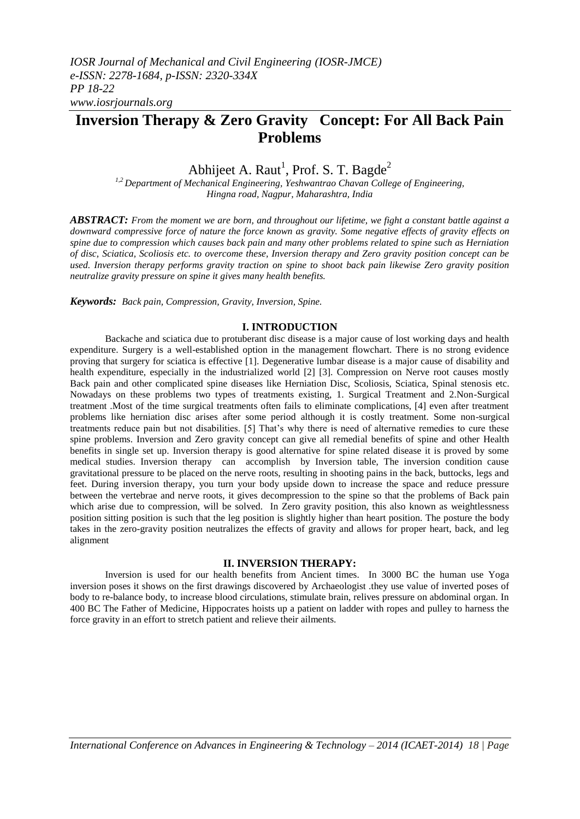# **Inversion Therapy & Zero Gravity Concept: For All Back Pain Problems**

## Abhijeet A. Raut<sup>1</sup>, Prof. S. T. Bagde<sup>2</sup>

*1,2 Department of Mechanical Engineering, Yeshwantrao Chavan College of Engineering, Hingna road, Nagpur, Maharashtra, India*

*ABSTRACT: From the moment we are born, and throughout our lifetime, we fight a constant battle against a downward compressive force of nature the force known as gravity. Some negative effects of gravity effects on spine due to compression which causes back pain and many other problems related to spine such as Herniation of disc, Sciatica, Scoliosis etc. to overcome these, Inversion therapy and Zero gravity position concept can be used. Inversion therapy performs gravity traction on spine to shoot back pain likewise Zero gravity position neutralize gravity pressure on spine it gives many health benefits.*

*Keywords: Back pain, Compression, Gravity, Inversion, Spine.*

## **I. INTRODUCTION**

Backache and sciatica due to protuberant disc disease is a major cause of lost working days and health expenditure. Surgery is a well-established option in the management flowchart. There is no strong evidence proving that surgery for sciatica is effective [1]. Degenerative lumbar disease is a major cause of disability and health expenditure, especially in the industrialized world [2] [3]. Compression on Nerve root causes mostly Back pain and other complicated spine diseases like Herniation Disc, Scoliosis, Sciatica, Spinal stenosis etc. Nowadays on these problems two types of treatments existing, 1. Surgical Treatment and 2.Non-Surgical treatment .Most of the time surgical treatments often fails to eliminate complications, [4] even after treatment problems like herniation disc arises after some period although it is costly treatment. Some non-surgical treatments reduce pain but not disabilities. [5] That's why there is need of alternative remedies to cure these spine problems. Inversion and Zero gravity concept can give all remedial benefits of spine and other Health benefits in single set up. Inversion therapy is good alternative for spine related disease it is proved by some medical studies. Inversion therapy can accomplish by Inversion table, The inversion condition cause gravitational pressure to be placed on the nerve roots, resulting in shooting pains in the back, buttocks, legs and feet. During inversion therapy, you turn your body upside down to increase the space and reduce pressure between the vertebrae and nerve roots, it gives decompression to the spine so that the problems of Back pain which arise due to compression, will be solved. In Zero gravity position, this also known as weightlessness position sitting position is such that the leg position is slightly higher than heart position. The posture the body takes in the zero-gravity position neutralizes the effects of gravity and allows for proper heart, back, and leg alignment

## **II. INVERSION THERAPY:**

Inversion is used for our health benefits from Ancient times. In 3000 BC the human use Yoga inversion poses it shows on the first drawings discovered by Archaeologist .they use value of inverted poses of body to re-balance body, to increase blood circulations, stimulate brain, relives pressure on abdominal organ. In 400 BC The Father of Medicine, Hippocrates hoists up a patient on ladder with ropes and pulley to harness the force gravity in an effort to stretch patient and relieve their ailments.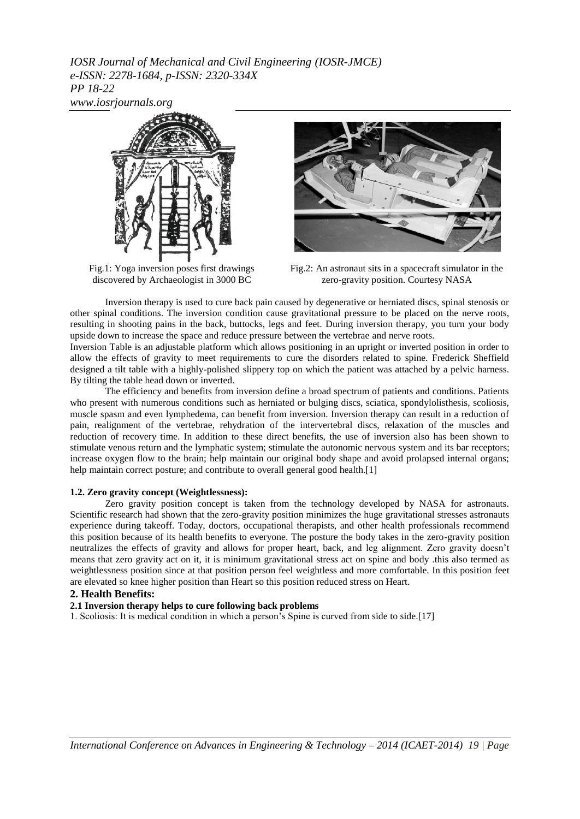*IOSR Journal of Mechanical and Civil Engineering (IOSR-JMCE) e-ISSN: 2278-1684, p-ISSN: 2320-334X PP 18-22 www.iosrjournals.org*



Fig.1: Yoga inversion poses first drawings discovered by Archaeologist in 3000 BC



Fig.2: An astronaut sits in a spacecraft simulator in the zero-gravity position. Courtesy NASA

Inversion therapy is used to cure back pain caused by degenerative or herniated discs, spinal stenosis or other spinal conditions. The inversion condition cause gravitational pressure to be placed on the nerve roots, resulting in shooting pains in the back, buttocks, legs and feet. During inversion therapy, you turn your body upside down to increase the space and reduce pressure between the vertebrae and nerve roots.

Inversion Table is an adjustable platform which allows positioning in an upright or inverted position in order to allow the effects of gravity to meet requirements to cure the disorders related to spine. Frederick Sheffield designed a tilt table with a highly-polished slippery top on which the patient was attached by a pelvic harness. By tilting the table head down or inverted.

The efficiency and benefits from inversion define a broad spectrum of patients and conditions. Patients who present with numerous conditions such as herniated or bulging discs, sciatica, spondylolisthesis, scoliosis, muscle spasm and even lymphedema, can benefit from inversion. Inversion therapy can result in a reduction of pain, realignment of the vertebrae, rehydration of the intervertebral discs, relaxation of the muscles and reduction of recovery time. In addition to these direct benefits, the use of inversion also has been shown to stimulate venous return and the lymphatic system; stimulate the autonomic nervous system and its bar receptors; increase oxygen flow to the brain; help maintain our original body shape and avoid prolapsed internal organs; help maintain correct posture; and contribute to overall general good health.<sup>[1]</sup>

#### **1.2. Zero gravity concept (Weightlessness):**

Zero gravity position concept is taken from the technology developed by NASA for astronauts. Scientific research had shown that the zero-gravity position minimizes the huge gravitational stresses astronauts experience during takeoff. Today, doctors, occupational therapists, and other health professionals recommend this position because of its health benefits to everyone. The posture the body takes in the zero-gravity position neutralizes the effects of gravity and allows for proper heart, back, and leg alignment. Zero gravity doesn't means that zero gravity act on it, it is minimum gravitational stress act on spine and body .this also termed as weightlessness position since at that position person feel weightless and more comfortable. In this position feet are elevated so knee higher position than Heart so this position reduced stress on Heart.

## **2. Health Benefits:**

## **2.1 Inversion therapy helps to cure following back problems**

1. Scoliosis: It is medical condition in which a person's Spine is curved from side to side.[17]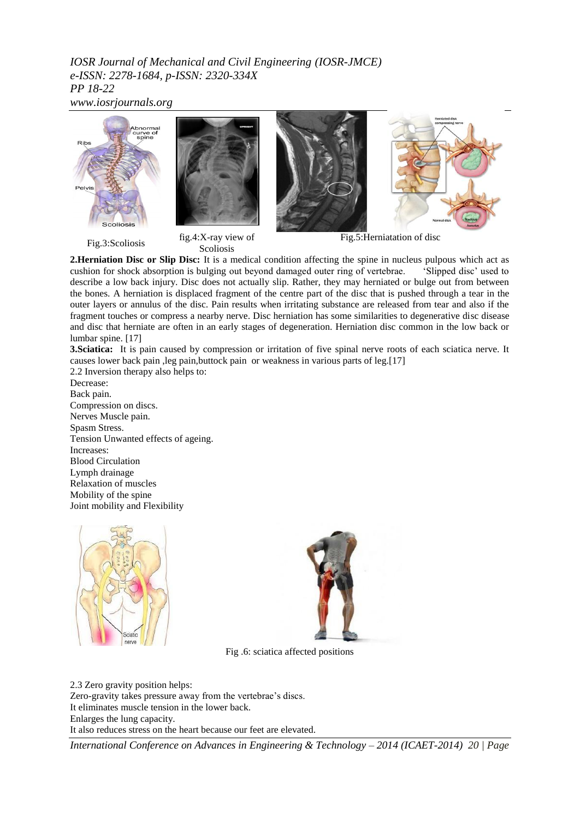*IOSR Journal of Mechanical and Civil Engineering (IOSR-JMCE) e-ISSN: 2278-1684, p-ISSN: 2320-334X PP 18-22*

*www.iosrjournals.org*



Fig.3:Scoliosis fig.4:X-ray view of Scoliosis

Fig.5:Herniatation of disc

**2.Herniation Disc or Slip Disc:** It is a medical condition affecting the spine in nucleus pulpous which act as cushion for shock absorption is bulging out beyond damaged outer ring of vertebrae. 'Slipped disc' used to describe a low back injury. Disc does not actually slip. Rather, they may herniated or bulge out from between the bones. A herniation is displaced fragment of the centre part of the disc that is pushed through a tear in the outer layers or annulus of the disc. Pain results when irritating substance are released from tear and also if the fragment touches or compress a nearby nerve. Disc herniation has some similarities to degenerative disc disease and disc that herniate are often in an early stages of degeneration. Herniation disc common in the low back or lumbar spine. [17]

**3.Sciatica:** It is pain caused by compression or irritation of five spinal nerve roots of each sciatica nerve. It causes lower back pain ,leg pain,buttock pain or weakness in various parts of leg.[17] 2.2 Inversion therapy also helps to:

Decrease: Back pain. Compression on discs. Nerves Muscle pain. Spasm Stress. Tension Unwanted effects of ageing. Increases: Blood Circulation Lymph drainage Relaxation of muscles Mobility of the spine Joint mobility and Flexibility





Fig .6: sciatica affected positions

2.3 Zero gravity position helps: Zero-gravity takes pressure away from the vertebrae's discs. It eliminates muscle tension in the lower back. Enlarges the lung capacity. It also reduces stress on the heart because our feet are elevated.

*International Conference on Advances in Engineering & Technology – 2014 (ICAET-2014) 20 | Page*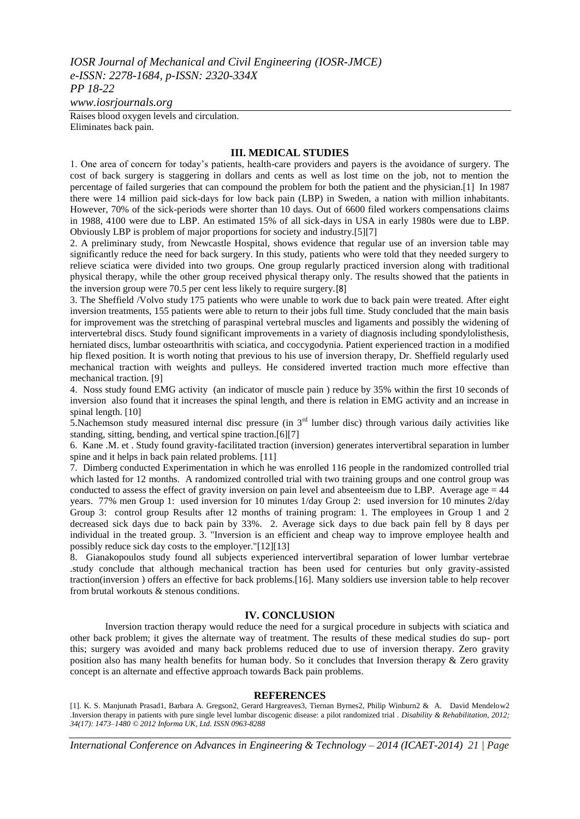*IOSR Journal of Mechanical and Civil Engineering (IOSR-JMCE) e-ISSN: 2278-1684, p-ISSN: 2320-334X PP 18-22*

*www.iosrjournals.org*

Raises blood oxygen levels and circulation. Eliminates back pain.

#### **III. MEDICAL STUDIES**

1. One area of concern for today's patients, health-care providers and payers is the avoidance of surgery. The cost of back surgery is staggering in dollars and cents as well as lost time on the job, not to mention the percentage of failed surgeries that can compound the problem for both the patient and the physician.[1] In 1987 there were 14 million paid sick-days for low back pain (LBP) in Sweden, a nation with million inhabitants. However, 70% of the sick-periods were shorter than 10 days. Out of 6600 filed workers compensations claims in 1988, 4100 were due to LBP. An estimated 15% of all sick-days in USA in early 1980s were due to LBP. Obviously LBP is problem of major proportions for society and industry.[5][7]

2. A preliminary study, from Newcastle Hospital, shows evidence that regular use of an inversion table may significantly reduce the need for back surgery. In this study, patients who were told that they needed surgery to relieve sciatica were divided into two groups. One group regularly practiced inversion along with traditional physical therapy, while the other group received physical therapy only. The results showed that the patients in the inversion group were 70.5 per cent less likely to require surgery.[8]

3. The Sheffield /Volvo study 175 patients who were unable to work due to back pain were treated. After eight inversion treatments, 155 patients were able to return to their jobs full time. Study concluded that the main basis for improvement was the stretching of paraspinal vertebral muscles and ligaments and possibly the widening of intervertebral discs. Study found significant improvements in a variety of diagnosis including spondylolisthesis, herniated discs, lumbar osteoarthritis with sciatica, and coccygodynia. Patient experienced traction in a modified hip flexed position. It is worth noting that previous to his use of inversion therapy, Dr. Sheffield regularly used mechanical traction with weights and pulleys. He considered inverted traction much more effective than mechanical traction. [9]

4. Noss study found EMG activity (an indicator of muscle pain ) reduce by 35% within the first 10 seconds of inversion also found that it increases the spinal length, and there is relation in EMG activity and an increase in spinal length. [10]

5. Nachemson study measured internal disc pressure (in  $3<sup>rd</sup>$  lumber disc) through various daily activities like standing, sitting, bending, and vertical spine traction.[6][7]

6. Kane .M. et . Study found gravity-facilitated traction (inversion) generates intervertibral separation in lumber spine and it helps in back pain related problems. [11]

7. Dimberg conducted Experimentation in which he was enrolled 116 people in the randomized controlled trial which lasted for 12 months. A randomized controlled trial with two training groups and one control group was conducted to assess the effect of gravity inversion on pain level and absenteeism due to LBP. Average  $a$ ge  $= 44$ years. 77% men Group 1: used inversion for 10 minutes 1/day Group 2: used inversion for 10 minutes 2/day Group 3: control group Results after 12 months of training program: 1. The employees in Group 1 and 2 decreased sick days due to back pain by 33%. 2. Average sick days to due back pain fell by 8 days per individual in the treated group. 3. "Inversion is an efficient and cheap way to improve employee health and possibly reduce sick day costs to the employer."[12][13]

8. Gianakopoulos study found all subjects experienced intervertibral separation of lower lumbar vertebrae .study conclude that although mechanical traction has been used for centuries but only gravity-assisted traction(inversion ) offers an effective for back problems.[16]. Many soldiers use inversion table to help recover from brutal workouts & stenous conditions.

## **IV. CONCLUSION**

Inversion traction therapy would reduce the need for a surgical procedure in subjects with sciatica and other back problem; it gives the alternate way of treatment. The results of these medical studies do sup- port this; surgery was avoided and many back problems reduced due to use of inversion therapy. Zero gravity position also has many health benefits for human body. So it concludes that Inversion therapy & Zero gravity concept is an alternate and effective approach towards Back pain problems.

#### **REFERENCES**

[1]. K. S. Manjunath Prasad1, Barbara A. Gregson2, Gerard Hargreaves3, Tiernan Byrnes2, Philip Winburn2 & A. David Mendelow2 *.*Inversion therapy in patients with pure single level lumbar discogenic disease: a pilot randomized trial . *Disability & Rehabilitation, 2012; 34(17): 1473–1480 © 2012 Informa UK, Ltd. ISSN 0963-8288*

*International Conference on Advances in Engineering & Technology – 2014 (ICAET-2014) 21 | Page*